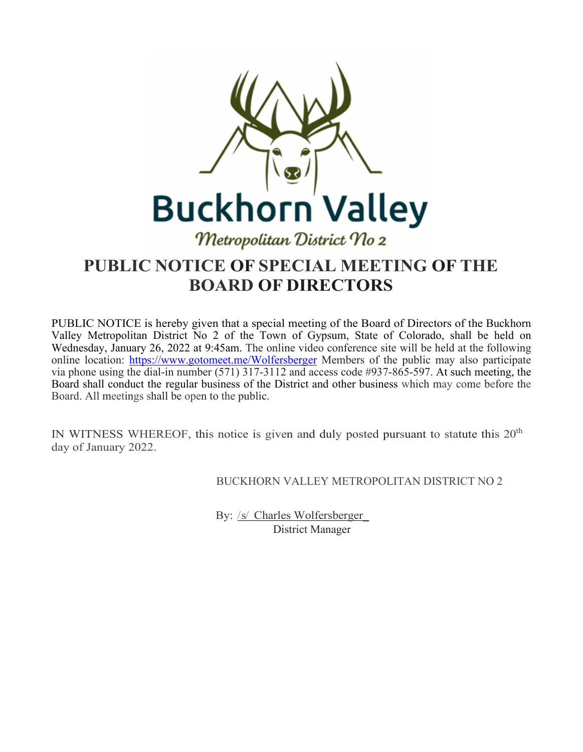

# **PUBLIC NOTICE OF SPECIAL MEETING OF THE BOARD OF DIRECTORS**

PUBLIC NOTICE is hereby given that a special meeting of the Board of Directors of the Buckhorn Valley Metropolitan District No 2 of the Town of Gypsum, State of Colorado, shall be held on Wednesday, January 26, 2022 at 9:45am. The online video conference site will be held at the following online location: <https://www.gotomeet.me/Wolfersberger> Members of the public may also participate via phone using the dial-in number (571) 317-3112 and access code #937-865-597. At such meeting, the Board shall conduct the regular business of the District and other business which may come before the Board. All meetings shall be open to the public.

IN WITNESS WHEREOF, this notice is given and duly posted pursuant to statute this  $20<sup>th</sup>$ day of January 2022.

BUCKHORN VALLEY METROPOLITAN DISTRICT NO 2

By: /s/ Charles Wolfersberger\_ District Manager